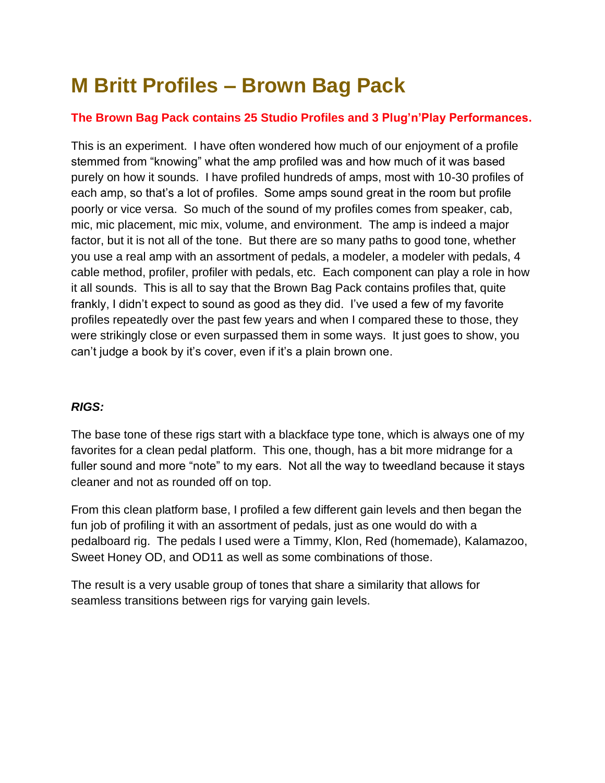## **M Britt Profiles – Brown Bag Pack**

## **The Brown Bag Pack contains 25 Studio Profiles and 3 Plug'n'Play Performances.**

This is an experiment. I have often wondered how much of our enjoyment of a profile stemmed from "knowing" what the amp profiled was and how much of it was based purely on how it sounds. I have profiled hundreds of amps, most with 10-30 profiles of each amp, so that's a lot of profiles. Some amps sound great in the room but profile poorly or vice versa. So much of the sound of my profiles comes from speaker, cab, mic, mic placement, mic mix, volume, and environment. The amp is indeed a major factor, but it is not all of the tone. But there are so many paths to good tone, whether you use a real amp with an assortment of pedals, a modeler, a modeler with pedals, 4 cable method, profiler, profiler with pedals, etc. Each component can play a role in how it all sounds. This is all to say that the Brown Bag Pack contains profiles that, quite frankly, I didn't expect to sound as good as they did. I've used a few of my favorite profiles repeatedly over the past few years and when I compared these to those, they were strikingly close or even surpassed them in some ways. It just goes to show, you can't judge a book by it's cover, even if it's a plain brown one.

## *RIGS:*

The base tone of these rigs start with a blackface type tone, which is always one of my favorites for a clean pedal platform. This one, though, has a bit more midrange for a fuller sound and more "note" to my ears. Not all the way to tweedland because it stays cleaner and not as rounded off on top.

From this clean platform base, I profiled a few different gain levels and then began the fun job of profiling it with an assortment of pedals, just as one would do with a pedalboard rig. The pedals I used were a Timmy, Klon, Red (homemade), Kalamazoo, Sweet Honey OD, and OD11 as well as some combinations of those.

The result is a very usable group of tones that share a similarity that allows for seamless transitions between rigs for varying gain levels.